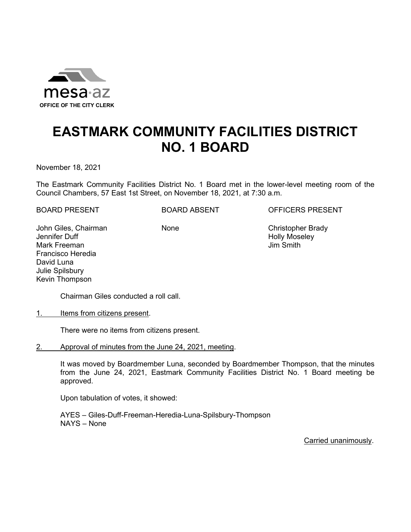

## **EASTMARK COMMUNITY FACILITIES DISTRICT NO. 1 BOARD**

November 18, 2021

The Eastmark Community Facilities District No. 1 Board met in the lower-level meeting room of the Council Chambers, 57 East 1st Street, on November 18, 2021, at 7:30 a.m.

BOARD PRESENT BOARD ABSENT OFFICERS PRESENT

John Giles, Chairman Jennifer Duff Mark Freeman Francisco Heredia David Luna Julie Spilsbury Kevin Thompson

None Christopher Brady Holly Moseley Jim Smith

Chairman Giles conducted a roll call.

1. Items from citizens present.

There were no items from citizens present.

2. Approval of minutes from the June 24, 2021, meeting.

It was moved by Boardmember Luna, seconded by Boardmember Thompson, that the minutes from the June 24, 2021, Eastmark Community Facilities District No. 1 Board meeting be approved.

Upon tabulation of votes, it showed:

AYES – Giles-Duff-Freeman-Heredia-Luna-Spilsbury-Thompson NAYS – None

Carried unanimously.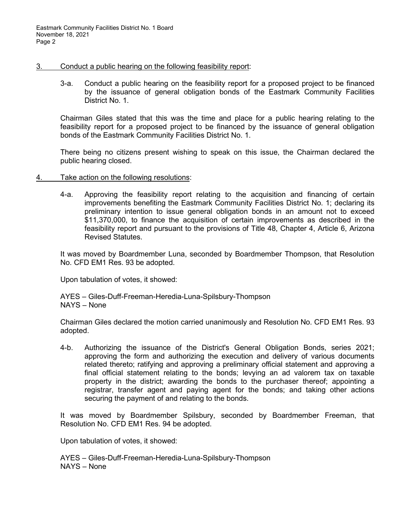## 3. Conduct a public hearing on the following feasibility report:

3-a. Conduct a public hearing on the feasibility report for a proposed project to be financed by the issuance of general obligation bonds of the Eastmark Community Facilities District No. 1.

Chairman Giles stated that this was the time and place for a public hearing relating to the feasibility report for a proposed project to be financed by the issuance of general obligation bonds of the Eastmark Community Facilities District No. 1.

There being no citizens present wishing to speak on this issue, the Chairman declared the public hearing closed.

## 4. Take action on the following resolutions:

4-a. Approving the feasibility report relating to the acquisition and financing of certain improvements benefiting the Eastmark Community Facilities District No. 1; declaring its preliminary intention to issue general obligation bonds in an amount not to exceed \$11,370,000, to finance the acquisition of certain improvements as described in the feasibility report and pursuant to the provisions of Title 48, Chapter 4, Article 6, Arizona Revised Statutes.

It was moved by Boardmember Luna, seconded by Boardmember Thompson, that Resolution No. CFD EM1 Res. 93 be adopted.

Upon tabulation of votes, it showed:

AYES – Giles-Duff-Freeman-Heredia-Luna-Spilsbury-Thompson NAYS – None

Chairman Giles declared the motion carried unanimously and Resolution No. CFD EM1 Res. 93 adopted.

4-b. Authorizing the issuance of the District's General Obligation Bonds, series 2021; approving the form and authorizing the execution and delivery of various documents related thereto; ratifying and approving a preliminary official statement and approving a final official statement relating to the bonds; levying an ad valorem tax on taxable property in the district; awarding the bonds to the purchaser thereof; appointing a registrar, transfer agent and paying agent for the bonds; and taking other actions securing the payment of and relating to the bonds.

It was moved by Boardmember Spilsbury, seconded by Boardmember Freeman, that Resolution No. CFD EM1 Res. 94 be adopted.

Upon tabulation of votes, it showed:

AYES – Giles-Duff-Freeman-Heredia-Luna-Spilsbury-Thompson NAYS – None